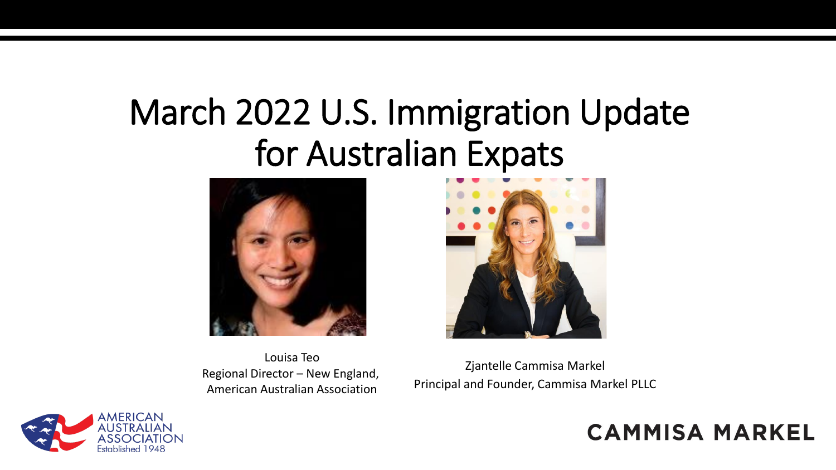# March 2022 U.S. Immigration Update for Australian Expats



Louisa Teo Regional Director – New England, American Australian Association



Zjantelle Cammisa Markel Principal and Founder, Cammisa Markel PLLC

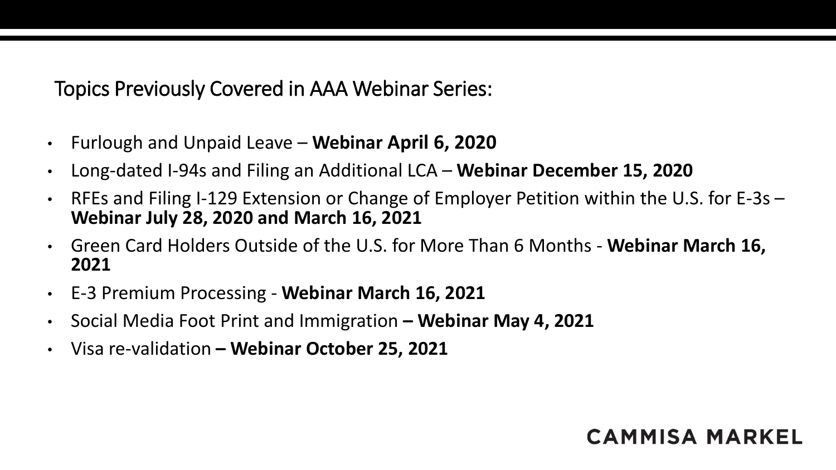Topics Previously Covered in AAA Webinar Series:

- Furlough and Unpaid Leave **Webinar April 6, 2020**
- Long-dated I-94s and Filing an Additional LCA **Webinar December 15, 2020**
- RFEs and Filing I-129 Extension or Change of Employer Petition within the U.S. for E-3s **Webinar July 28, 2020 and March 16, 2021**
- Green Card Holders Outside of the U.S. for More Than 6 Months **Webinar March 16, 2021**
- E-3 Premium Processing **Webinar March 16, 2021**
- Social Media Foot Print and Immigration **– Webinar May 4, 2021**
- Visa re-validation **– Webinar October 25, 2021**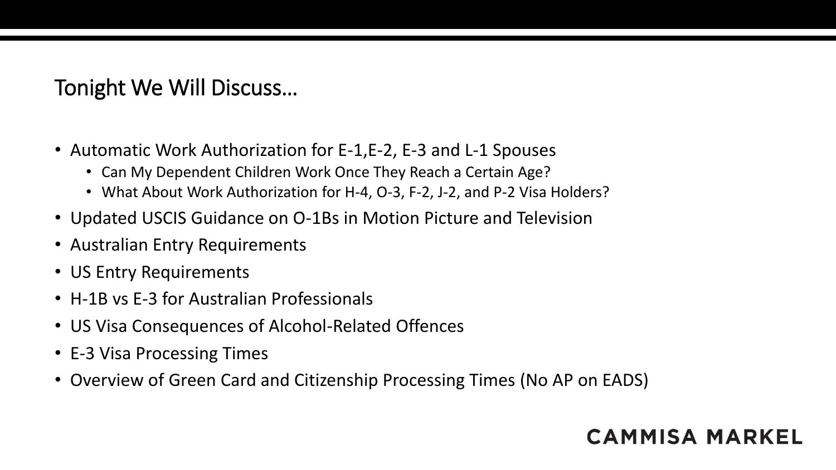# Tonight We Will Discuss…

- Automatic Work Authorization for E-1,E-2, E-3 and L-1 Spouses
	- Can My Dependent Children Work Once They Reach a Certain Age?
	- What About Work Authorization for H-4, O-3, F-2, J-2, and P-2 Visa Holders?
- Updated USCIS Guidance on O-1Bs in Motion Picture and Television
- Australian Entry Requirements
- US Entry Requirements
- H-1B vs E-3 for Australian Professionals
- US Visa Consequences of Alcohol-Related Offences
- E-3 Visa Processing Times
- Overview of Green Card and Citizenship Processing Times (No AP on EADS)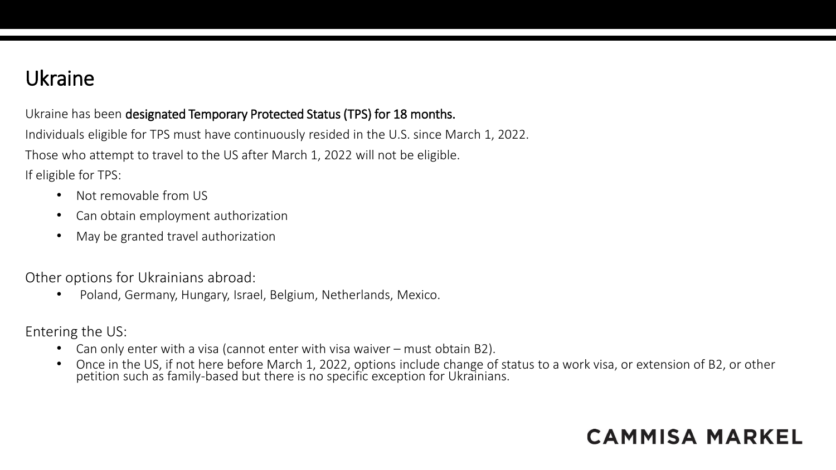### Ukraine

Ukraine has been designated Temporary Protected Status (TPS) for 18 months.

Individuals eligible for TPS must have continuously resided in the U.S. since March 1, 2022. Those who attempt to travel to the US after March 1, 2022 will not be eligible. If eligible for TPS:

- Not removable from US
- Can obtain employment authorization
- May be granted travel authorization

Other options for Ukrainians abroad:

• Poland, Germany, Hungary, Israel, Belgium, Netherlands, Mexico.

Entering the US:

- Can only enter with a visa (cannot enter with visa waiver must obtain B2).
- Once in the US, if not here before March 1, 2022, options include change of status to a work visa, or extension of B2, or other petition such as family-based but there is no specific exception for Ukrainians.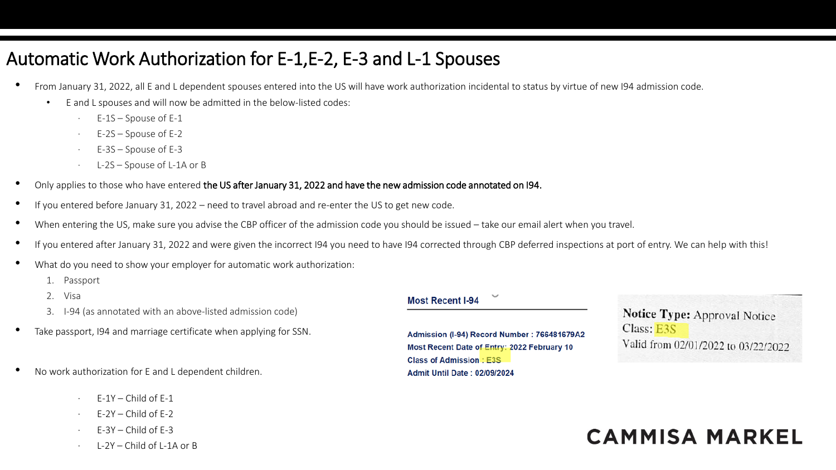### Automatic Work Authorization for E-1,E-2, E-3 and L-1 Spouses

- From January 31, 2022, all E and L dependent spouses entered into the US will have work authorization incidental to status by virtue of new I94 admission code.
	- E and L spouses and will now be admitted in the below-listed codes:
		- E-1S Spouse of E-1
		- $E-2S -$  Spouse of E-2
		- · E-3S Spouse of E-3
		- L-2S Spouse of L-1A or B
- Only applies to those who have entered the US after January 31, 2022 and have the new admission code annotated on I94.
- If you entered before January 31, 2022 need to travel abroad and re-enter the US to get new code.
- When entering the US, make sure you advise the CBP officer of the admission code you should be issued take our email alert when you travel.
- If you entered after January 31, 2022 and were given the incorrect I94 you need to have I94 corrected through CBP deferred inspections at port of entry. We can help with this!
- What do you need to show your employer for automatic work authorization:
	- 1. Passport
	- 2. Visa
	- 3. I-94 (as annotated with an above-listed admission code)
- Take passport, 194 and marriage certificate when applying for SSN.
- No work authorization for E and L dependent children.
	- $F-1Y Child$  of  $F-1$
	- $F-2Y Child$  of  $F-2$
	- $F-3Y Child of F-3$
	- $1-2Y$  Child of L-1A or B

#### **Most Recent I-94**

Admission (I-94) Record Number: 766481679A2 Most Recent Date of Entry: 2022 February 10 **Class of Admission: E3S Admit Until Date: 02/09/2024** 

Notice Type: Approval Notice Class: E3S Valid from 02/01/2022 to 03/22/2022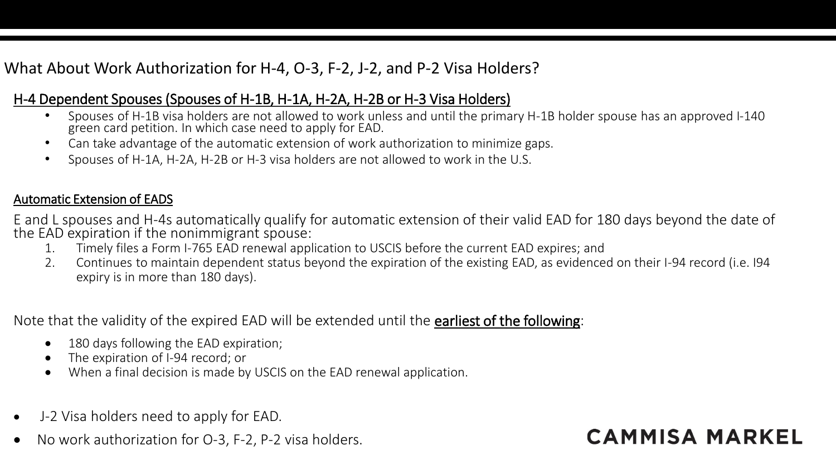#### What About Work Authorization for H-4, O-3, F-2, J-2, and P-2 Visa Holders?

#### H-4 Dependent Spouses (Spouses of H-1B, H-1A, H-2A, H-2B or H-3 Visa Holders)

- Spouses of H-1B visa holders are not allowed to work unless and until the primary H-1B holder spouse has an approved I-140 green card petition. In which case need to apply for EAD.
- Can take advantage of the automatic extension of work authorization to minimize gaps.
- Spouses of H-1A, H-2A, H-2B or H-3 visa holders are not allowed to work in the U.S.

#### Automatic Extension of EADS

E and L spouses and H-4s automatically qualify for automatic extension of their valid EAD for 180 days beyond the date of the EAD expiration if the nonimmigrant spouse:

- 1. Timely files a Form I-765 EAD renewal application to USCIS before the current EAD expires; and
- 2. Continues to maintain dependent status beyond the expiration of the existing EAD, as evidenced on their I-94 record (i.e. I94 expiry is in more than 180 days).

#### Note that the validity of the expired EAD will be extended until the earliest of the following:

- 180 days following the EAD expiration;
- The expiration of I-94 record; or
- When a final decision is made by USCIS on the EAD renewal application.
- J-2 Visa holders need to apply for EAD.
- No work authorization for O-3, F-2, P-2 visa holders.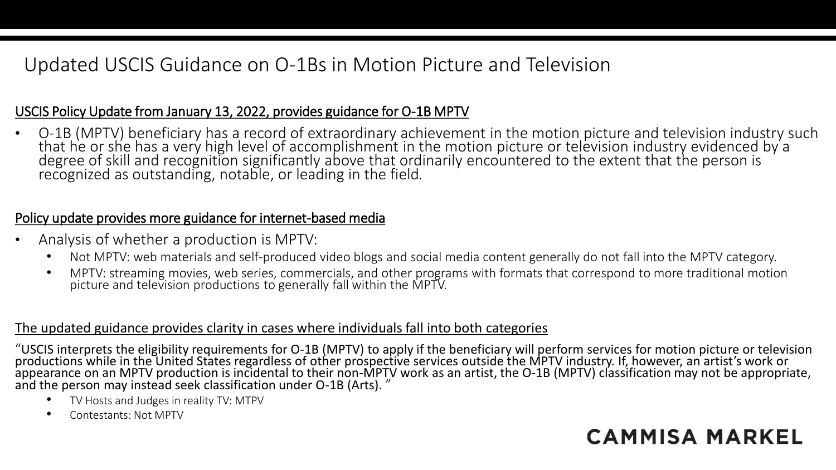### Updated USCIS Guidance on O-1Bs in Motion Picture and Television

#### USCIS Policy Update from January 13, 2022, provides guidance for O-1B MPTV

• O-1B (MPTV) beneficiary has a record of extraordinary achievement in the motion picture and television industry such that he or she has a very high level of accomplishment in the motion picture or television industry evidenced by a degree of skill and recognition significantly above that ordinarily encountered to the extent that the person is recognized as outstanding, notable, or leading in the field.

#### Policy update provides more guidance for internet-based media

- Analysis of whether a production is MPTV:
	- Not MPTV: web materials and self-produced video blogs and social media content generally do not fall into the MPTV category.
	- MPTV: streaming movies, web series, commercials, and other programs with formats that correspond to more traditional motion picture and television productions to generally fall within the MPTV.

#### The updated guidance provides clarity in cases where individuals fall into both categories

"USCIS interprets the eligibility requirements for O-1B (MPTV) to apply if the beneficiary will perform services for motion picture or television productions while in the United States regardless of other prospective services outside the MPTV industry. If, however, an artist's work or appearance on an MPTV production is incidental to their non-MPTV work as an artist, the O-1B (MPTV) classification may not be appropriate, and the person may instead seek classification under O-1B (Arts). "

- TV Hosts and Judges in reality TV: MTPV
- Contestants: Not MPTV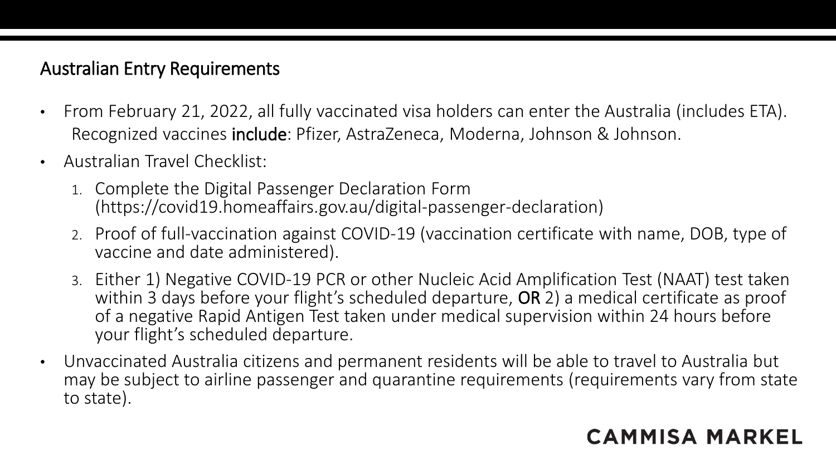### Australian Entry Requirements

- From February 21, 2022, all fully vaccinated visa holders can enter the Australia (includes ETA). Recognized vaccines include: Pfizer, AstraZeneca, Moderna, Johnson & Johnson.
- Australian Travel Checklist:
	- 1. Complete the Digital Passenger Declaration Form (https://covid19.homeaffairs.gov.au/digital-passenger-declaration)
	- 2. Proof of full-vaccination against COVID-19 (vaccination certificate with name, DOB, type of vaccine and date administered).
	- 3. Either 1) Negative COVID-19 PCR or other Nucleic Acid Amplification Test (NAAT) test taken within 3 days before your flight's scheduled departure, OR 2) a medical certificate as proof of a negative Rapid Antigen Test taken under medical supervision within 24 hours before your flight's scheduled departure.
- Unvaccinated Australia citizens and permanent residents will be able to travel to Australia but may be subject to airline passenger and quarantine requirements (requirements vary from state to state).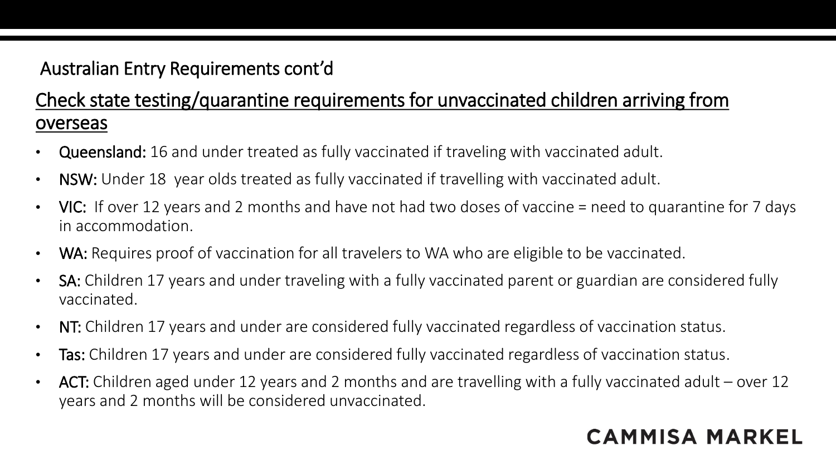### Australian Entry Requirements cont'd

### Check state testing/quarantine requirements for unvaccinated children arriving from overseas

- Queensland: 16 and under treated as fully vaccinated if traveling with vaccinated adult.
- NSW: Under 18 year olds treated as fully vaccinated if travelling with vaccinated adult.
- VIC: If over 12 years and 2 months and have not had two doses of vaccine = need to quarantine for 7 days in accommodation.
- WA: Requires proof of vaccination for all travelers to WA who are eligible to be vaccinated.
- SA: Children 17 years and under traveling with a fully vaccinated parent or guardian are considered fully vaccinated.
- NT: Children 17 years and under are considered fully vaccinated regardless of vaccination status.
- Tas: Children 17 years and under are considered fully vaccinated regardless of vaccination status.
- ACT: Children aged under 12 years and 2 months and are travelling with a fully vaccinated adult over 12 years and 2 months will be considered unvaccinated.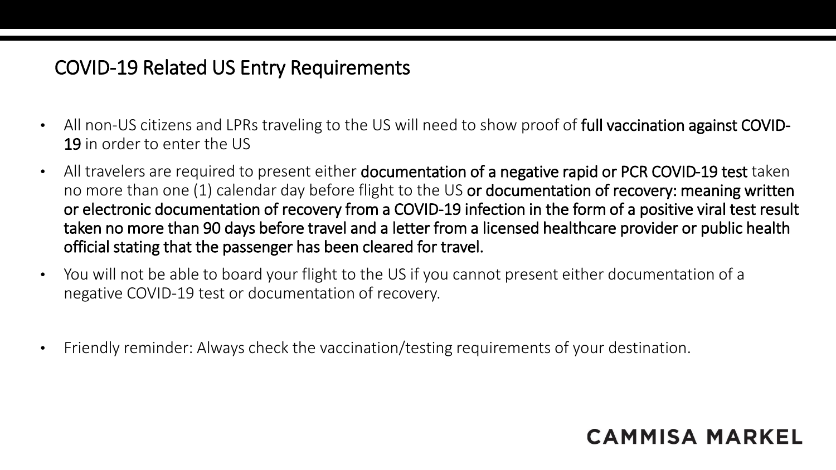### COVID-19 Related US Entry Requirements

- All non-US citizens and LPRs traveling to the US will need to show proof of full vaccination against COVID-19 in order to enter the US
- All travelers are required to present either documentation of a negative rapid or PCR COVID-19 test taken no more than one (1) calendar day before flight to the US or documentation of recovery: meaning written or electronic documentation of recovery from a COVID-19 infection in the form of a positive viral test result taken no more than 90 days before travel and a letter from a licensed healthcare provider or public health official stating that the passenger has been cleared for travel.
- You will not be able to board your flight to the US if you cannot present either documentation of a negative COVID-19 test or documentation of recovery.
- Friendly reminder: Always check the vaccination/testing requirements of your destination.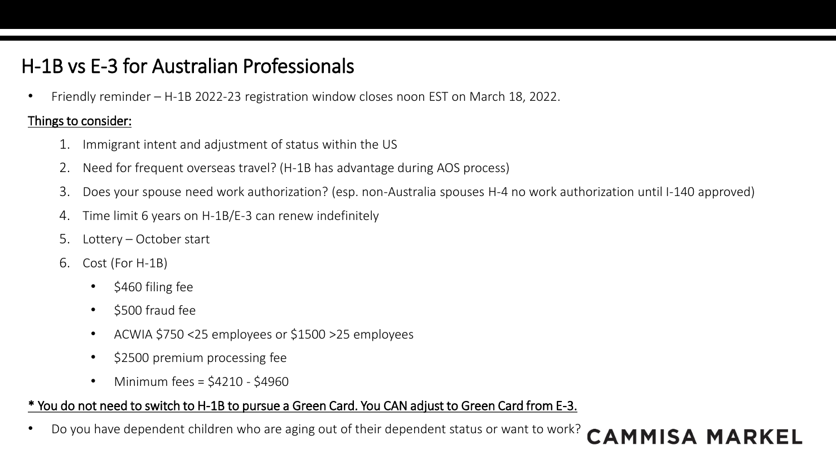# H-1B vs E-3 for Australian Professionals

• Friendly reminder – H-1B 2022-23 registration window closes noon EST on March 18, 2022.

#### Things to consider:

- 1. Immigrant intent and adjustment of status within the US
- 2. Need for frequent overseas travel? (H-1B has advantage during AOS process)
- 3. Does your spouse need work authorization? (esp. non-Australia spouses H-4 no work authorization until I-140 approved)

**CAMMISA MARKEL** 

- 4. Time limit 6 years on H-1B/E-3 can renew indefinitely
- 5. Lottery October start
- 6. Cost (For H-1B)
	- \$460 filing fee
	- \$500 fraud fee
	- ACWIA \$750 <25 employees or \$1500 >25 employees
	- \$2500 premium processing fee
	- Minimum fees =  $$4210 $4960$

#### \* You do not need to switch to H-1B to pursue a Green Card. You CAN adjust to Green Card from E-3.

• Do you have dependent children who are aging out of their dependent status or want to work?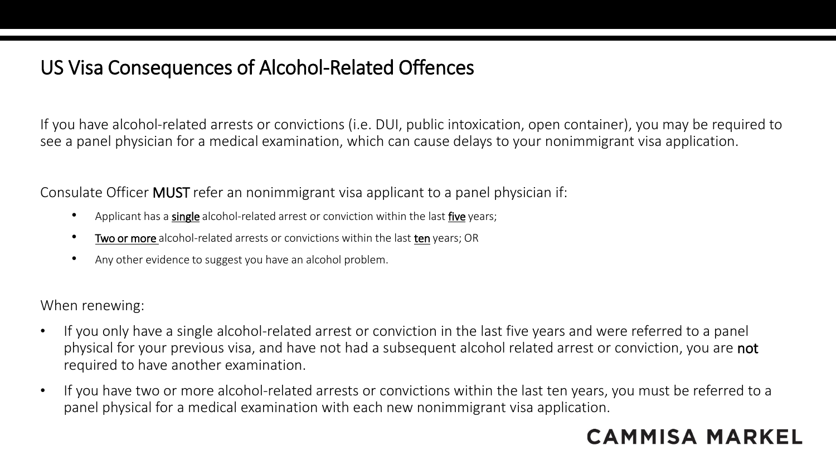### US Visa Consequences of Alcohol-Related Offences

If you have alcohol-related arrests or convictions (i.e. DUI, public intoxication, open container), you may be required to see a panel physician for a medical examination, which can cause delays to your nonimmigrant visa application.

Consulate Officer MUST refer an nonimmigrant visa applicant to a panel physician if:

- Applicant has a single alcohol-related arrest or conviction within the last five years;
- Two or more alcohol-related arrests or convictions within the last ten years; OR
- Any other evidence to suggest you have an alcohol problem.

When renewing:

- If you only have a single alcohol-related arrest or conviction in the last five years and were referred to a panel physical for your previous visa, and have not had a subsequent alcohol related arrest or conviction, you are not required to have another examination.
- If you have two or more alcohol-related arrests or convictions within the last ten years, you must be referred to a panel physical for a medical examination with each new nonimmigrant visa application.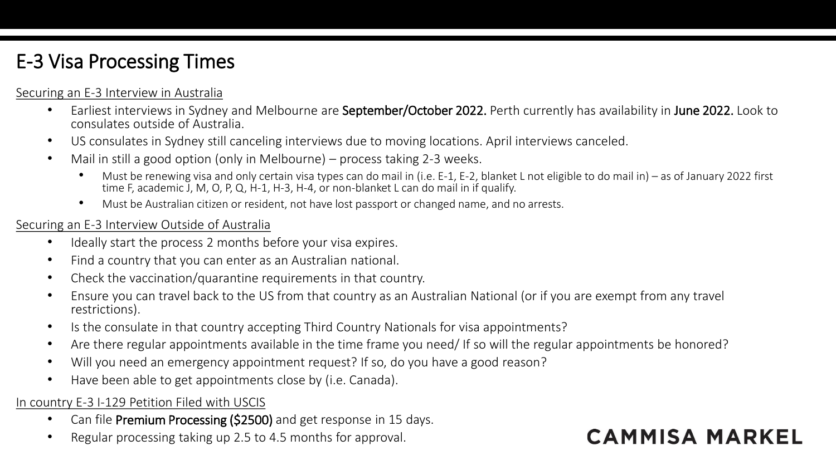# E-3 Visa Processing Times

#### Securing an E-3 Interview in Australia

- Earliest interviews in Sydney and Melbourne are September/October 2022. Perth currently has availability in June 2022. Look to consulates outside of Australia.
- US consulates in Sydney still canceling interviews due to moving locations. April interviews canceled.
- Mail in still a good option (only in Melbourne) process taking 2-3 weeks.
	- Must be renewing visa and only certain visa types can do mail in (i.e. E-1, E-2, blanket L not eligible to do mail in) as of January 2022 first time F, academic J, M, O, P, Q, H-1, H-3, H-4, or non-blanket L can do mail in if qualify.
	- Must be Australian citizen or resident, not have lost passport or changed name, and no arrests.

#### Securing an E-3 Interview Outside of Australia

- Ideally start the process 2 months before your visa expires.
- Find a country that you can enter as an Australian national.
- Check the vaccination/quarantine requirements in that country.
- Ensure you can travel back to the US from that country as an Australian National (or if you are exempt from any travel restrictions).
- Is the consulate in that country accepting Third Country Nationals for visa appointments?
- Are there regular appointments available in the time frame you need/ If so will the regular appointments be honored?
- Will you need an emergency appointment request? If so, do you have a good reason?
- Have been able to get appointments close by (i.e. Canada).

#### In country E-3 I-129 Petition Filed with USCIS

- Can file Premium Processing (\$2500) and get response in 15 days.
- Regular processing taking up 2.5 to 4.5 months for approval.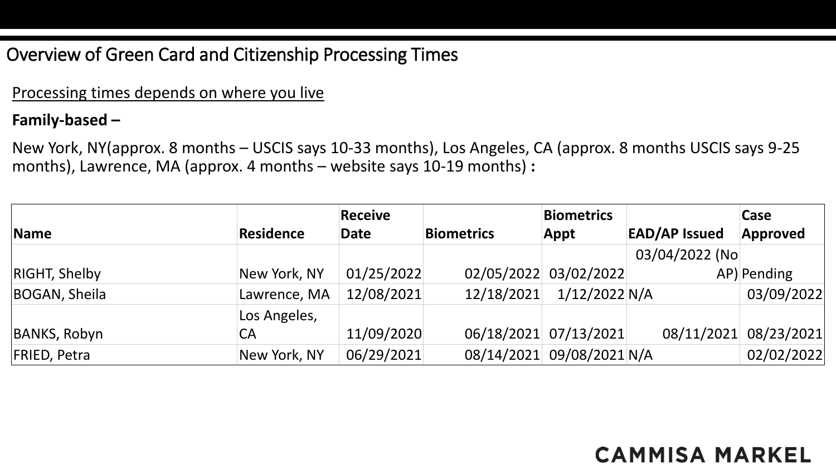### Overview of Green Card and Citizenship Processing Times

#### Processing times depends on where you live

#### **Family-based –**

New York, NY(approx. 8 months – USCIS says 10-33 months), Los Angeles, CA (approx. 8 months USCIS says 9-25 months), Lawrence, MA (approx. 4 months – website says 10-19 months) **:**

|                      |                  | <b>Receive</b> |                   | <b>Biometrics</b>         |                      | Case                  |
|----------------------|------------------|----------------|-------------------|---------------------------|----------------------|-----------------------|
| Name                 | <b>Residence</b> | <b>Date</b>    | <b>Biometrics</b> | Appt                      | <b>EAD/AP Issued</b> | Approved              |
|                      |                  |                |                   |                           | 03/04/2022 (No       |                       |
| <b>RIGHT, Shelby</b> | New York, NY     | 01/25/2022     |                   | 02/05/2022 03/02/2022     |                      | AP) Pending           |
| BOGAN, Sheila        | Lawrence, MA     | 12/08/2021     | 12/18/2021        | $1/12/2022$ N/A           |                      | 03/09/2022            |
|                      | Los Angeles,     |                |                   |                           |                      |                       |
| <b>BANKS, Robyn</b>  | СA               | 11/09/2020     |                   | 06/18/2021 07/13/2021     |                      | 08/11/2021 08/23/2021 |
| <b>FRIED, Petra</b>  | New York, NY     | 06/29/2021     |                   | 08/14/2021 09/08/2021 N/A |                      | 02/02/2022            |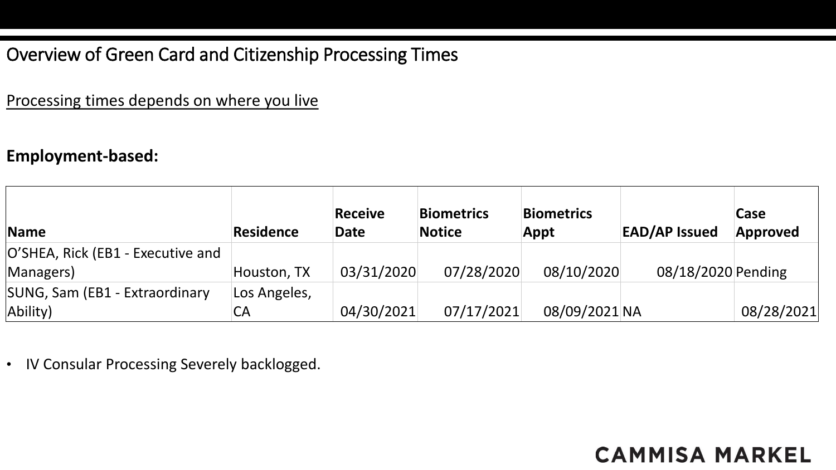### Overview of Green Card and Citizenship Processing Times

Processing times depends on where you live

#### **Employment-based:**

| Name                              | <b>Residence</b> | <b>Receive</b><br><b>Date</b> | <b>Biometrics</b><br><b>Notice</b> | <b>Biometrics</b><br>Appt | <b>EAD/AP Issued</b> | Case<br>Approved |
|-----------------------------------|------------------|-------------------------------|------------------------------------|---------------------------|----------------------|------------------|
| O'SHEA, Rick (EB1 - Executive and |                  |                               |                                    |                           |                      |                  |
| Managers)                         | Houston, TX      | 03/31/2020                    | 07/28/2020                         | 08/10/2020                | 08/18/2020 Pending   |                  |
| SUNG, Sam (EB1 - Extraordinary    | Los Angeles,     |                               |                                    |                           |                      |                  |
| Ability)                          | СA               | 04/30/2021                    | 07/17/2021                         | 08/09/2021 NA             |                      | 08/28/2021       |

• IV Consular Processing Severely backlogged.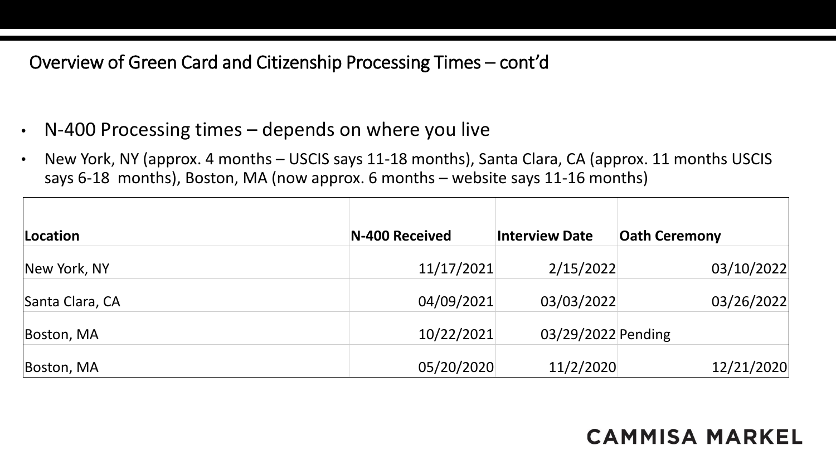### Overview of Green Card and Citizenship Processing Times – cont'd

- N-400 Processing times depends on where you live
- New York, NY (approx. 4 months USCIS says 11-18 months), Santa Clara, CA (approx. 11 months USCIS says 6-18 months), Boston, MA (now approx. 6 months – website says 11-16 months)

| Location        | N-400 Received | <b>Interview Date</b> | <b>Oath Ceremony</b> |
|-----------------|----------------|-----------------------|----------------------|
| New York, NY    | 11/17/2021     | 2/15/2022             | 03/10/2022           |
| Santa Clara, CA | 04/09/2021     | 03/03/2022            | 03/26/2022           |
| Boston, MA      | 10/22/2021     | 03/29/2022 Pending    |                      |
| Boston, MA      | 05/20/2020     | 11/2/2020             | 12/21/2020           |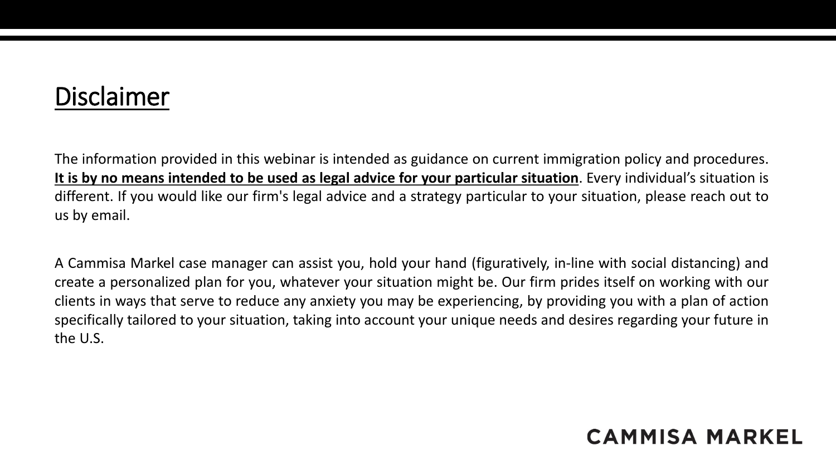# Disclaimer

The information provided in this webinar is intended as guidance on current immigration policy and procedures. It is by no means intended to be used as legal advice for your particular situation. Every individual's situation is different. If you would like our firm's legal advice and a strategy particular to your situation, please reach out to us by email.

A Cammisa Markel case manager can assist you, hold your hand (figuratively, in-line with social distancing) and create a personalized plan for you, whatever your situation might be. Our firm prides itself on working with our clients in ways that serve to reduce any anxiety you may be experiencing, by providing you with a plan of action specifically tailored to your situation, taking into account your unique needs and desires regarding your future in the U.S.